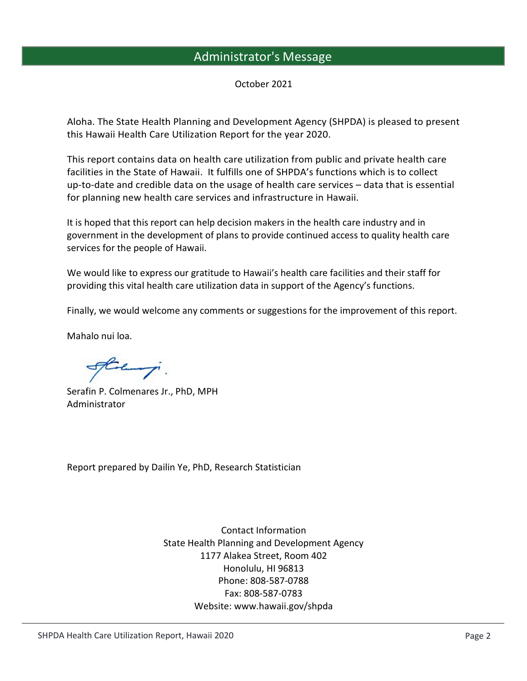## Administrator's Message

October 2021

Aloha. The State Health Planning and Development Agency (SHPDA) is pleased to present this Hawaii Health Care Utilization Report for the year 2020.

This report contains data on health care utilization from public and private health care facilities in the State of Hawaii. It fulfills one of SHPDA's functions which is to collect up-to-date and credible data on the usage of health care services – data that is essential for planning new health care services and infrastructure in Hawaii.

It is hoped that this report can help decision makers in the health care industry and in government in the development of plans to provide continued access to quality health care services for the people of Hawaii.

We would like to express our gratitude to Hawaii's health care facilities and their staff for providing this vital health care utilization data in support of the Agency's functions.

Finally, we would welcome any comments or suggestions for the improvement of this report.

Mahalo nui loa.

Stelling.

Serafin P. Colmenares Jr., PhD, MPH Administrator

Report prepared by Dailin Ye, PhD, Research Statistician

Contact Information State Health Planning and Development Agency 1177 Alakea Street, Room 402 Honolulu, HI 96813 Phone: 808-587-0788 Fax: 808-587-0783 Website: www.hawaii.gov/shpda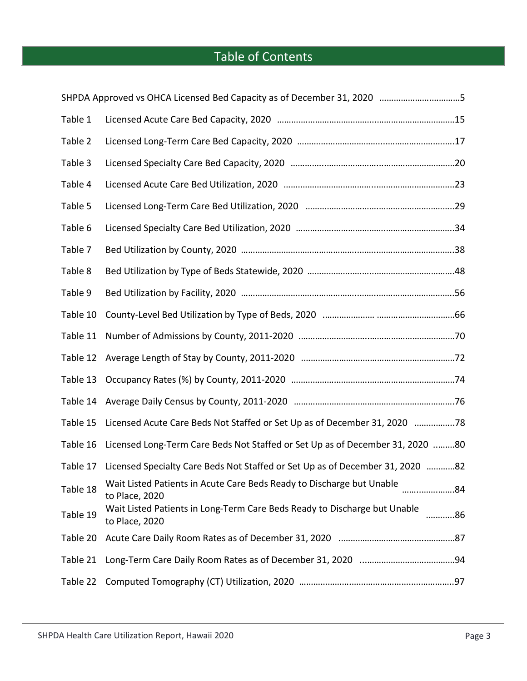## Table of Contents

|          | SHPDA Approved vs OHCA Licensed Bed Capacity as of December 31, 2020 5                            |  |
|----------|---------------------------------------------------------------------------------------------------|--|
| Table 1  |                                                                                                   |  |
| Table 2  |                                                                                                   |  |
| Table 3  |                                                                                                   |  |
| Table 4  |                                                                                                   |  |
| Table 5  |                                                                                                   |  |
| Table 6  |                                                                                                   |  |
| Table 7  |                                                                                                   |  |
| Table 8  |                                                                                                   |  |
| Table 9  |                                                                                                   |  |
| Table 10 |                                                                                                   |  |
| Table 11 |                                                                                                   |  |
| Table 12 |                                                                                                   |  |
| Table 13 |                                                                                                   |  |
| Table 14 |                                                                                                   |  |
| Table 15 | Licensed Acute Care Beds Not Staffed or Set Up as of December 31, 2020 78                         |  |
| Table 16 | Licensed Long-Term Care Beds Not Staffed or Set Up as of December 31, 2020 80                     |  |
| Table 17 | Licensed Specialty Care Beds Not Staffed or Set Up as of December 31, 2020 82                     |  |
| Table 18 | Wait Listed Patients in Acute Care Beds Ready to Discharge but Unable<br>84<br>to Place, 2020     |  |
| Table 19 | Wait Listed Patients in Long-Term Care Beds Ready to Discharge but Unable<br>86<br>to Place, 2020 |  |
| Table 20 |                                                                                                   |  |
| Table 21 |                                                                                                   |  |
| Table 22 |                                                                                                   |  |